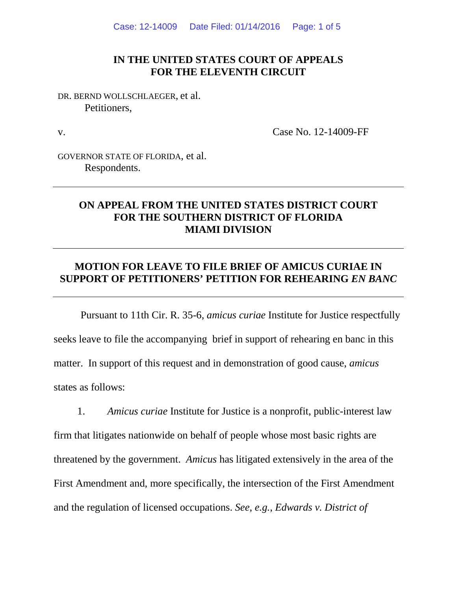### **IN THE UNITED STATES COURT OF APPEALS FOR THE ELEVENTH CIRCUIT**

DR. BERND WOLLSCHLAEGER, et al. Petitioners,

v.

Case No. 12-14009-FF

GOVERNOR STATE OF FLORIDA, et al. Respondents.

## **ON APPEAL FROM THE UNITED STATES DISTRICT COURT FOR THE SOUTHERN DISTRICT OF FLORIDA MIAMI DIVISION**

# **MOTION FOR LEAVE TO FILE BRIEF OF AMICUS CURIAE IN SUPPORT OF PETITIONERS' PETITION FOR REHEARING** *EN BANC*

Pursuant to 11th Cir. R. 35-6, *amicus curiae* Institute for Justice respectfully seeks leave to file the accompanying brief in support of rehearing en banc in this matter. In support of this request and in demonstration of good cause, *amicus*  states as follows:

1. *Amicus curiae* Institute for Justice is a nonprofit, public-interest law firm that litigates nationwide on behalf of people whose most basic rights are threatened by the government. *Amicus* has litigated extensively in the area of the First Amendment and, more specifically, the intersection of the First Amendment and the regulation of licensed occupations. *See*, *e.g.*, *Edwards v. District of*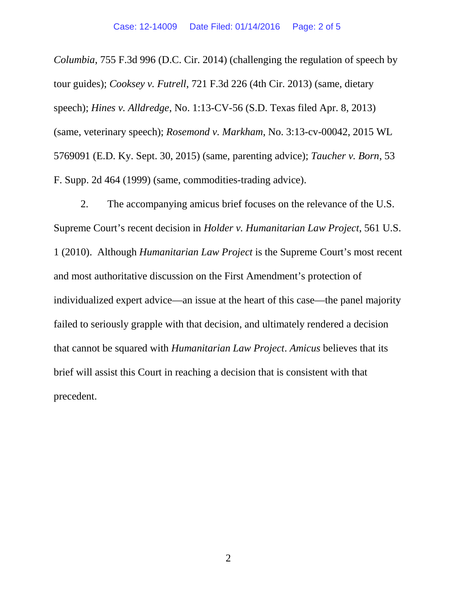*Columbia*, 755 F.3d 996 (D.C. Cir. 2014) (challenging the regulation of speech by tour guides); *Cooksey v. Futrell*, 721 F.3d 226 (4th Cir. 2013) (same, dietary speech); *Hines v. Alldredge*, No. 1:13-CV-56 (S.D. Texas filed Apr. 8, 2013) (same, veterinary speech); *Rosemond v. Markham*, No. 3:13-cv-00042, 2015 WL 5769091 (E.D. Ky. Sept. 30, 2015) (same, parenting advice); *Taucher v. Born*, 53 F. Supp. 2d 464 (1999) (same, commodities-trading advice).

2. The accompanying amicus brief focuses on the relevance of the U.S. Supreme Court's recent decision in *Holder v. Humanitarian Law Project*, 561 U.S. 1 (2010). Although *Humanitarian Law Project* is the Supreme Court's most recent and most authoritative discussion on the First Amendment's protection of individualized expert advice—an issue at the heart of this case—the panel majority failed to seriously grapple with that decision, and ultimately rendered a decision that cannot be squared with *Humanitarian Law Project*. *Amicus* believes that its brief will assist this Court in reaching a decision that is consistent with that precedent.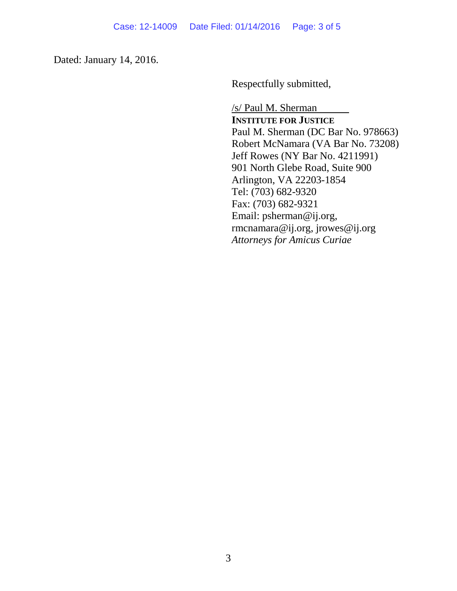Dated: January 14, 2016.

Respectfully submitted,

/s/ Paul M. Sherman **INSTITUTE FOR JUSTICE** Paul M. Sherman (DC Bar No. 978663) Robert McNamara (VA Bar No. 73208) Jeff Rowes (NY Bar No. 4211991) 901 North Glebe Road, Suite 900 Arlington, VA 22203-1854 Tel: (703) 682-9320 Fax: (703) 682-9321 Email: psherman@ij.org, rmcnamara@ij.org, jrowes@ij.org *Attorneys for Amicus Curiae*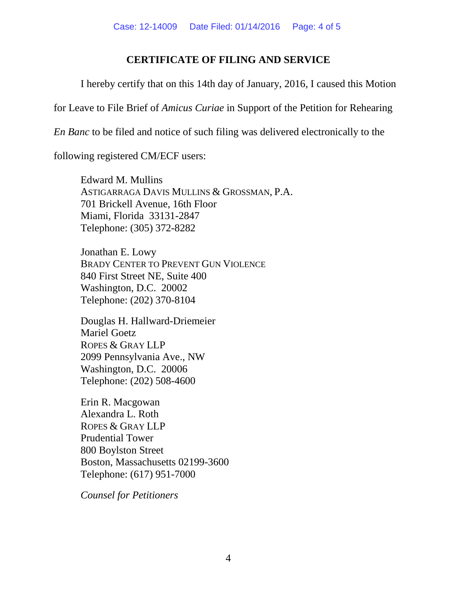# **CERTIFICATE OF FILING AND SERVICE**

I hereby certify that on this 14th day of January, 2016, I caused this Motion

for Leave to File Brief of *Amicus Curiae* in Support of the Petition for Rehearing

*En Banc* to be filed and notice of such filing was delivered electronically to the

following registered CM/ECF users:

Edward M. Mullins ASTIGARRAGA DAVIS MULLINS & GROSSMAN, P.A. 701 Brickell Avenue, 16th Floor Miami, Florida 33131-2847 Telephone: (305) 372-8282

Jonathan E. Lowy BRADY CENTER TO PREVENT GUN VIOLENCE 840 First Street NE, Suite 400 Washington, D.C. 20002 Telephone: (202) 370-8104

Douglas H. Hallward-Driemeier Mariel Goetz ROPES & GRAY LLP 2099 Pennsylvania Ave., NW Washington, D.C. 20006 Telephone: (202) 508-4600

Erin R. Macgowan Alexandra L. Roth ROPES & GRAY LLP Prudential Tower 800 Boylston Street Boston, Massachusetts 02199-3600 Telephone: (617) 951-7000

*Counsel for Petitioners*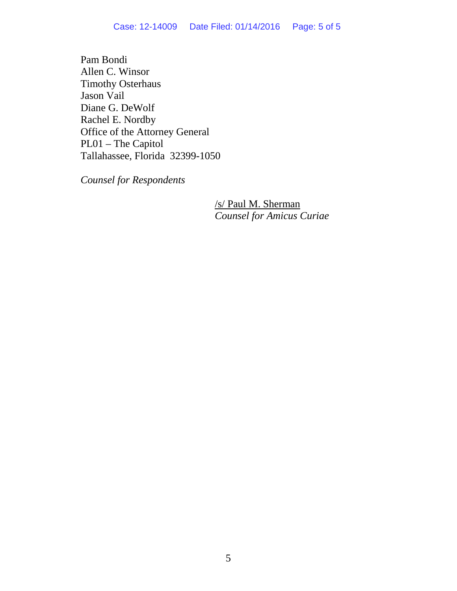Pam Bondi Allen C. Winsor Timothy Osterhaus Jason Vail Diane G. DeWolf Rachel E. Nordby Office of the Attorney General PL01 – The Capitol Tallahassee, Florida 32399-1050

*Counsel for Respondents*

/s/ Paul M. Sherman *Counsel for Amicus Curiae*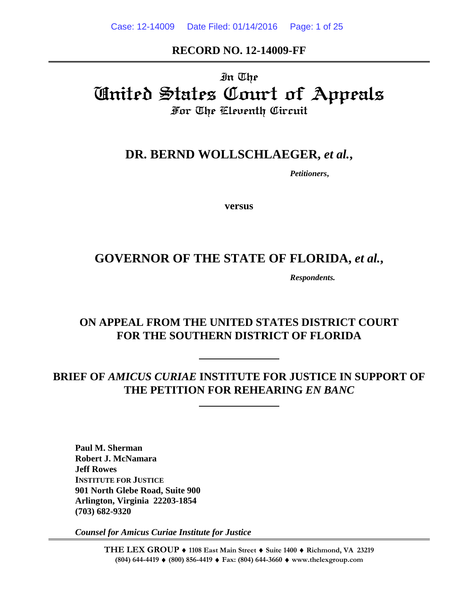### **RECORD NO. 12-14009-FF**

# In The United States Court of Appeals For The Eleventh Circuit

# **DR. BERND WOLLSCHLAEGER,** *et al.***,**

*Petitioners***,**

**versus**

# **GOVERNOR OF THE STATE OF FLORIDA,** *et al.***,**

*Respondents.*

# **ON APPEAL FROM THE UNITED STATES DISTRICT COURT FOR THE SOUTHERN DISTRICT OF FLORIDA**

# **BRIEF OF** *AMICUS CURIAE* **INSTITUTE FOR JUSTICE IN SUPPORT OF THE PETITION FOR REHEARING** *EN BANC*

**Paul M. Sherman Robert J. McNamara Jeff Rowes INSTITUTE FOR JUSTICE 901 North Glebe Road, Suite 900 Arlington, Virginia 22203-1854 (703) 682-9320**

*Counsel for Amicus Curiae Institute for Justice*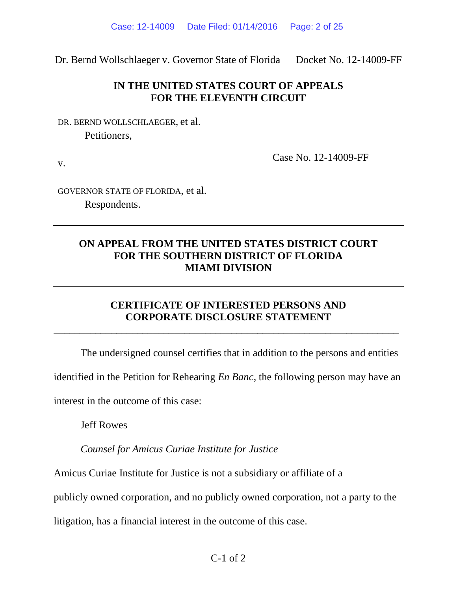Dr. Bernd Wollschlaeger v. Governor State of Florida Docket No. 12-14009-FF

# **IN THE UNITED STATES COURT OF APPEALS FOR THE ELEVENTH CIRCUIT**

DR. BERND WOLLSCHLAEGER, et al. Petitioners,

v.

Case No. 12-14009-FF

GOVERNOR STATE OF FLORIDA, et al. Respondents.

# **ON APPEAL FROM THE UNITED STATES DISTRICT COURT FOR THE SOUTHERN DISTRICT OF FLORIDA MIAMI DIVISION**

# **CERTIFICATE OF INTERESTED PERSONS AND CORPORATE DISCLOSURE STATEMENT**

\_\_\_\_\_\_\_\_\_\_\_\_\_\_\_\_\_\_\_\_\_\_\_\_\_\_\_\_\_\_\_\_\_\_\_\_\_\_\_\_\_\_\_\_\_\_\_\_\_\_\_\_\_\_\_\_\_\_\_\_\_\_\_\_\_\_

The undersigned counsel certifies that in addition to the persons and entities identified in the Petition for Rehearing *En Banc*, the following person may have an interest in the outcome of this case:

Jeff Rowes

*Counsel for Amicus Curiae Institute for Justice*

Amicus Curiae Institute for Justice is not a subsidiary or affiliate of a

publicly owned corporation, and no publicly owned corporation, not a party to the

litigation, has a financial interest in the outcome of this case.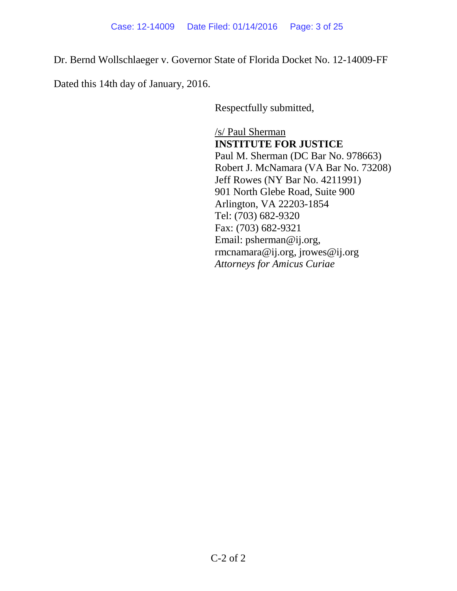Dr. Bernd Wollschlaeger v. Governor State of Florida Docket No. 12-14009-FF

Dated this 14th day of January, 2016.

Respectfully submitted,

/s/ Paul Sherman **INSTITUTE FOR JUSTICE** Paul M. Sherman (DC Bar No. 978663) Robert J. McNamara (VA Bar No. 73208) Jeff Rowes (NY Bar No. 4211991) 901 North Glebe Road, Suite 900 Arlington, VA 22203-1854 Tel: (703) 682-9320 Fax: (703) 682-9321 Email: psherman@ij.org, rmcnamara@ij.org, jrowes@ij.org *Attorneys for Amicus Curiae*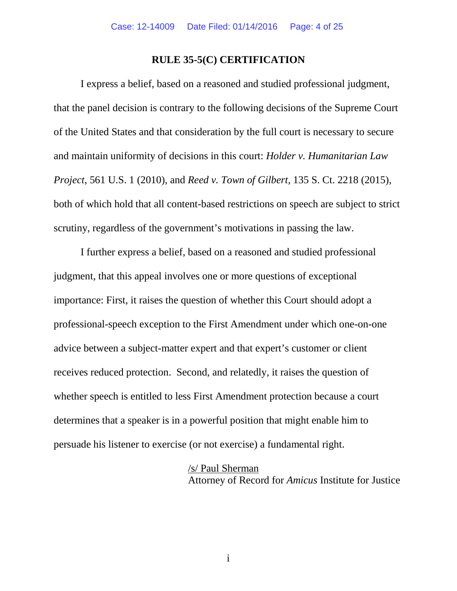### **RULE 35-5(C) CERTIFICATION**

I express a belief, based on a reasoned and studied professional judgment, that the panel decision is contrary to the following decisions of the Supreme Court of the United States and that consideration by the full court is necessary to secure and maintain uniformity of decisions in this court: *Holder v. Humanitarian Law Project*, 561 U.S. 1 (2010), and *Reed v. Town of Gilbert*, 135 S. Ct. 2218 (2015), both of which hold that all content-based restrictions on speech are subject to strict scrutiny, regardless of the government's motivations in passing the law.

I further express a belief, based on a reasoned and studied professional judgment, that this appeal involves one or more questions of exceptional importance: First, it raises the question of whether this Court should adopt a professional-speech exception to the First Amendment under which one-on-one advice between a subject-matter expert and that expert's customer or client receives reduced protection. Second, and relatedly, it raises the question of whether speech is entitled to less First Amendment protection because a court determines that a speaker is in a powerful position that might enable him to persuade his listener to exercise (or not exercise) a fundamental right.

#### /s/ Paul Sherman

Attorney of Record for *Amicus* Institute for Justice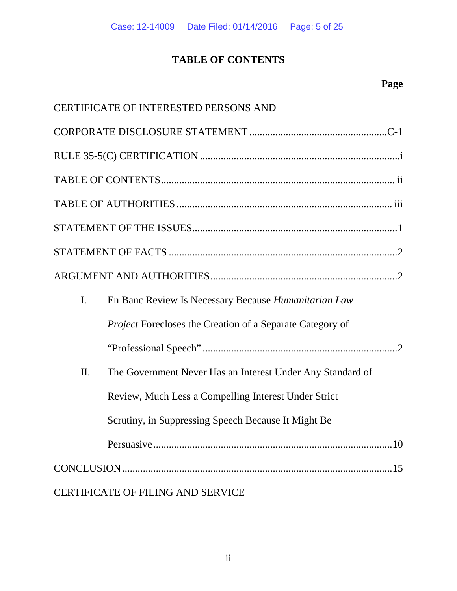# **TABLE OF CONTENTS**

|                | CERTIFICATE OF INTERESTED PERSONS AND                            |
|----------------|------------------------------------------------------------------|
|                |                                                                  |
|                |                                                                  |
|                |                                                                  |
|                |                                                                  |
|                |                                                                  |
|                |                                                                  |
|                |                                                                  |
| $\mathbf{I}$ . | En Banc Review Is Necessary Because <i>Humanitarian Law</i>      |
|                | <i>Project</i> Forecloses the Creation of a Separate Category of |
|                |                                                                  |
| II.            | The Government Never Has an Interest Under Any Standard of       |
|                | Review, Much Less a Compelling Interest Under Strict             |
|                | Scrutiny, in Suppressing Speech Because It Might Be              |
|                |                                                                  |
|                |                                                                  |
|                | CERTIFICATE OF FILING AND SERVICE                                |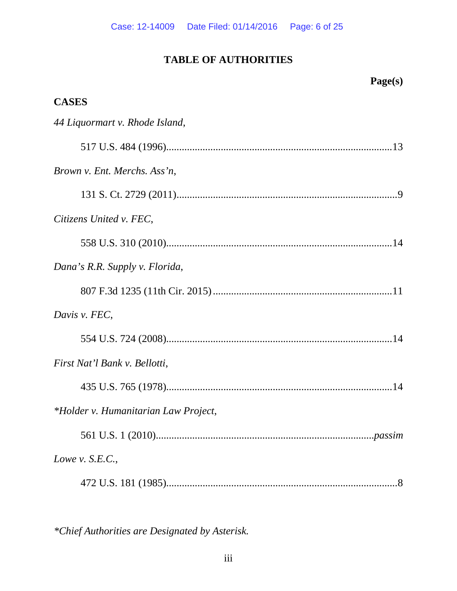# **TABLE OF AUTHORITIES**

| Page(s)                              |
|--------------------------------------|
| <b>CASES</b>                         |
| 44 Liquormart v. Rhode Island,       |
|                                      |
| Brown v. Ent. Merchs. Ass'n,         |
|                                      |
| Citizens United v. FEC,              |
|                                      |
| Dana's R.R. Supply v. Florida,       |
|                                      |
| Davis v. FEC,                        |
|                                      |
| First Nat'l Bank v. Bellotti,        |
|                                      |
| *Holder v. Humanitarian Law Project, |
|                                      |
| Lowe v. $S.E.C.,$                    |
|                                      |

*\*Chief Authorities are Designated by Asterisk.*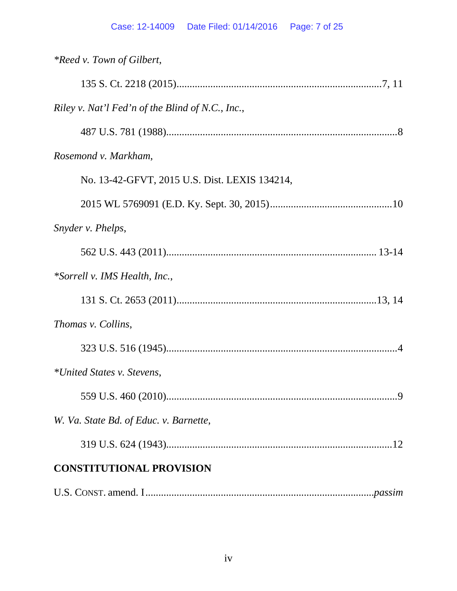| <i>*Reed v. Town of Gilbert,</i>                 |
|--------------------------------------------------|
|                                                  |
| Riley v. Nat'l Fed'n of the Blind of N.C., Inc., |
|                                                  |
| Rosemond v. Markham,                             |
| No. 13-42-GFVT, 2015 U.S. Dist. LEXIS 134214,    |
|                                                  |
| Snyder v. Phelps,                                |
|                                                  |
| *Sorrell v. IMS Health, Inc.,                    |
|                                                  |
| Thomas v. Collins,                               |
|                                                  |
| *United States v. Stevens,                       |
|                                                  |
| W. Va. State Bd. of Educ. v. Barnette,           |
|                                                  |
| <b>CONSTITUTIONAL PROVISION</b>                  |
|                                                  |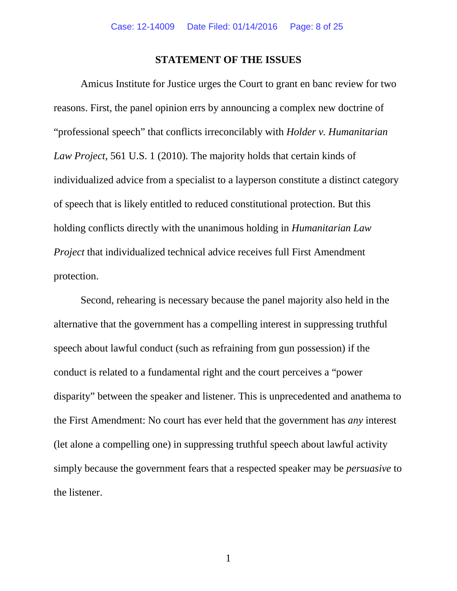#### **STATEMENT OF THE ISSUES**

Amicus Institute for Justice urges the Court to grant en banc review for two reasons. First, the panel opinion errs by announcing a complex new doctrine of "professional speech" that conflicts irreconcilably with *Holder v. Humanitarian Law Project*, 561 U.S. 1 (2010). The majority holds that certain kinds of individualized advice from a specialist to a layperson constitute a distinct category of speech that is likely entitled to reduced constitutional protection. But this holding conflicts directly with the unanimous holding in *Humanitarian Law Project* that individualized technical advice receives full First Amendment protection.

Second, rehearing is necessary because the panel majority also held in the alternative that the government has a compelling interest in suppressing truthful speech about lawful conduct (such as refraining from gun possession) if the conduct is related to a fundamental right and the court perceives a "power disparity" between the speaker and listener. This is unprecedented and anathema to the First Amendment: No court has ever held that the government has *any* interest (let alone a compelling one) in suppressing truthful speech about lawful activity simply because the government fears that a respected speaker may be *persuasive* to the listener.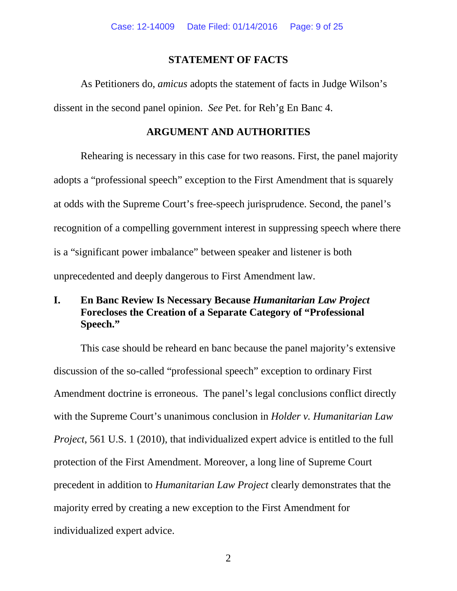### **STATEMENT OF FACTS**

As Petitioners do, *amicus* adopts the statement of facts in Judge Wilson's dissent in the second panel opinion. *See* Pet. for Reh'g En Banc 4.

### **ARGUMENT AND AUTHORITIES**

Rehearing is necessary in this case for two reasons. First, the panel majority adopts a "professional speech" exception to the First Amendment that is squarely at odds with the Supreme Court's free-speech jurisprudence. Second, the panel's recognition of a compelling government interest in suppressing speech where there is a "significant power imbalance" between speaker and listener is both unprecedented and deeply dangerous to First Amendment law.

# **I. En Banc Review Is Necessary Because** *Humanitarian Law Project* **Forecloses the Creation of a Separate Category of "Professional Speech."**

This case should be reheard en banc because the panel majority's extensive discussion of the so-called "professional speech" exception to ordinary First Amendment doctrine is erroneous. The panel's legal conclusions conflict directly with the Supreme Court's unanimous conclusion in *Holder v. Humanitarian Law Project*, 561 U.S. 1 (2010), that individualized expert advice is entitled to the full protection of the First Amendment. Moreover, a long line of Supreme Court precedent in addition to *Humanitarian Law Project* clearly demonstrates that the majority erred by creating a new exception to the First Amendment for individualized expert advice.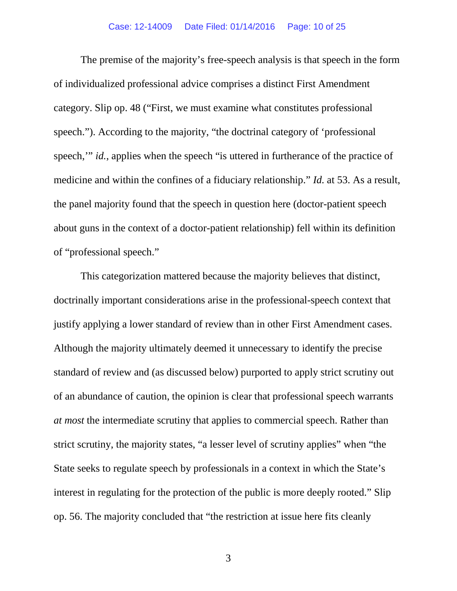The premise of the majority's free-speech analysis is that speech in the form of individualized professional advice comprises a distinct First Amendment category. Slip op. 48 ("First, we must examine what constitutes professional speech."). According to the majority, "the doctrinal category of 'professional speech," *id.*, applies when the speech "is uttered in furtherance of the practice of medicine and within the confines of a fiduciary relationship." *Id.* at 53. As a result, the panel majority found that the speech in question here (doctor-patient speech about guns in the context of a doctor-patient relationship) fell within its definition of "professional speech."

This categorization mattered because the majority believes that distinct, doctrinally important considerations arise in the professional-speech context that justify applying a lower standard of review than in other First Amendment cases. Although the majority ultimately deemed it unnecessary to identify the precise standard of review and (as discussed below) purported to apply strict scrutiny out of an abundance of caution, the opinion is clear that professional speech warrants *at most* the intermediate scrutiny that applies to commercial speech. Rather than strict scrutiny, the majority states, "a lesser level of scrutiny applies" when "the State seeks to regulate speech by professionals in a context in which the State's interest in regulating for the protection of the public is more deeply rooted." Slip op. 56. The majority concluded that "the restriction at issue here fits cleanly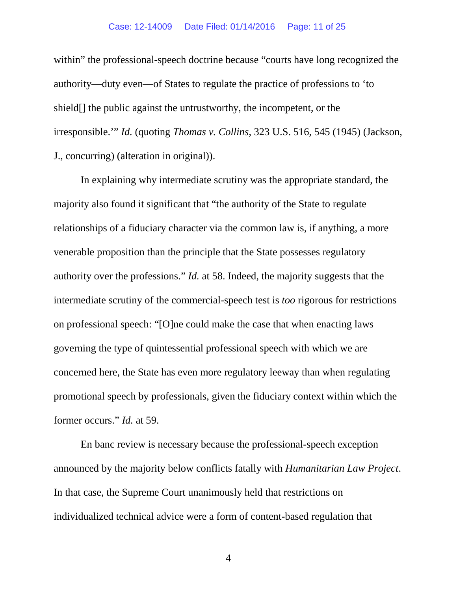#### Case: 12-14009 Date Filed: 01/14/2016 Page: 11 of 25

within" the professional-speech doctrine because "courts have long recognized the authority—duty even—of States to regulate the practice of professions to 'to shield[] the public against the untrustworthy, the incompetent, or the irresponsible.'" *Id.* (quoting *Thomas v. Collins*, 323 U.S. 516, 545 (1945) (Jackson, J., concurring) (alteration in original)).

In explaining why intermediate scrutiny was the appropriate standard, the majority also found it significant that "the authority of the State to regulate relationships of a fiduciary character via the common law is, if anything, a more venerable proposition than the principle that the State possesses regulatory authority over the professions." *Id.* at 58. Indeed, the majority suggests that the intermediate scrutiny of the commercial-speech test is *too* rigorous for restrictions on professional speech: "[O]ne could make the case that when enacting laws governing the type of quintessential professional speech with which we are concerned here, the State has even more regulatory leeway than when regulating promotional speech by professionals, given the fiduciary context within which the former occurs." *Id.* at 59.

En banc review is necessary because the professional-speech exception announced by the majority below conflicts fatally with *Humanitarian Law Project*. In that case, the Supreme Court unanimously held that restrictions on individualized technical advice were a form of content-based regulation that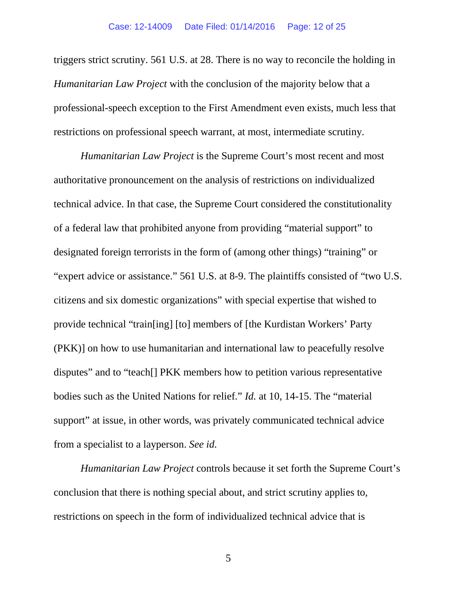triggers strict scrutiny. 561 U.S. at 28. There is no way to reconcile the holding in *Humanitarian Law Project* with the conclusion of the majority below that a professional-speech exception to the First Amendment even exists, much less that restrictions on professional speech warrant, at most, intermediate scrutiny.

*Humanitarian Law Project* is the Supreme Court's most recent and most authoritative pronouncement on the analysis of restrictions on individualized technical advice. In that case, the Supreme Court considered the constitutionality of a federal law that prohibited anyone from providing "material support" to designated foreign terrorists in the form of (among other things) "training" or "expert advice or assistance." 561 U.S. at 8-9. The plaintiffs consisted of "two U.S. citizens and six domestic organizations" with special expertise that wished to provide technical "train[ing] [to] members of [the Kurdistan Workers' Party (PKK)] on how to use humanitarian and international law to peacefully resolve disputes" and to "teach[] PKK members how to petition various representative bodies such as the United Nations for relief." *Id.* at 10, 14-15. The "material support" at issue, in other words, was privately communicated technical advice from a specialist to a layperson. *See id.*

*Humanitarian Law Project* controls because it set forth the Supreme Court's conclusion that there is nothing special about, and strict scrutiny applies to, restrictions on speech in the form of individualized technical advice that is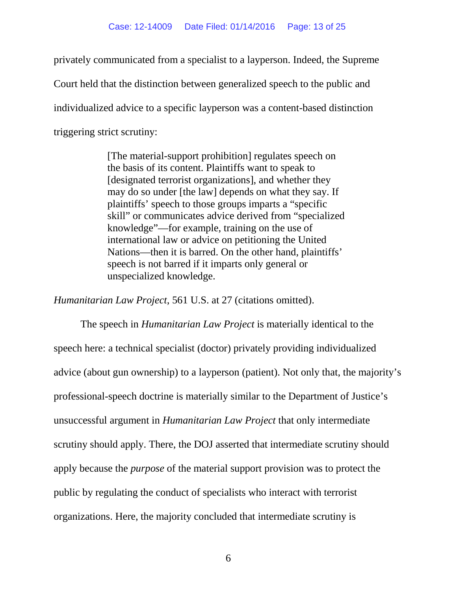privately communicated from a specialist to a layperson. Indeed, the Supreme Court held that the distinction between generalized speech to the public and individualized advice to a specific layperson was a content-based distinction triggering strict scrutiny:

> [The material-support prohibition] regulates speech on the basis of its content. Plaintiffs want to speak to [designated terrorist organizations], and whether they may do so under [the law] depends on what they say. If plaintiffs' speech to those groups imparts a "specific skill" or communicates advice derived from "specialized knowledge"—for example, training on the use of international law or advice on petitioning the United Nations—then it is barred. On the other hand, plaintiffs' speech is not barred if it imparts only general or unspecialized knowledge.

*Humanitarian Law Project*, 561 U.S. at 27 (citations omitted).

The speech in *Humanitarian Law Project* is materially identical to the speech here: a technical specialist (doctor) privately providing individualized advice (about gun ownership) to a layperson (patient). Not only that, the majority's professional-speech doctrine is materially similar to the Department of Justice's unsuccessful argument in *Humanitarian Law Project* that only intermediate scrutiny should apply. There, the DOJ asserted that intermediate scrutiny should apply because the *purpose* of the material support provision was to protect the public by regulating the conduct of specialists who interact with terrorist organizations. Here, the majority concluded that intermediate scrutiny is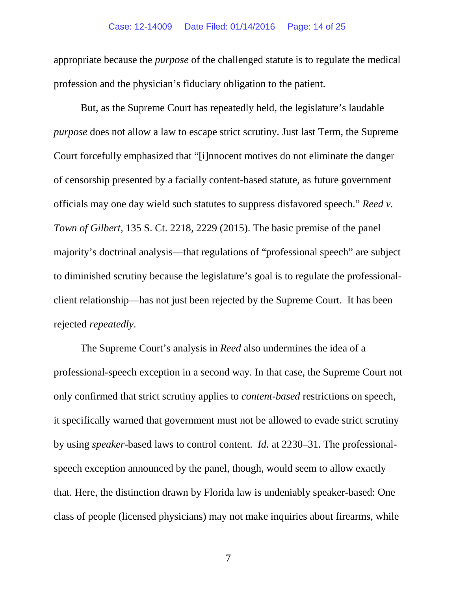#### Case: 12-14009 Date Filed: 01/14/2016 Page: 14 of 25

appropriate because the *purpose* of the challenged statute is to regulate the medical profession and the physician's fiduciary obligation to the patient.

But, as the Supreme Court has repeatedly held, the legislature's laudable *purpose* does not allow a law to escape strict scrutiny. Just last Term, the Supreme Court forcefully emphasized that "[i]nnocent motives do not eliminate the danger of censorship presented by a facially content-based statute, as future government officials may one day wield such statutes to suppress disfavored speech." *Reed v. Town of Gilbert*, 135 S. Ct. 2218, 2229 (2015). The basic premise of the panel majority's doctrinal analysis—that regulations of "professional speech" are subject to diminished scrutiny because the legislature's goal is to regulate the professionalclient relationship—has not just been rejected by the Supreme Court. It has been rejected *repeatedly*.

The Supreme Court's analysis in *Reed* also undermines the idea of a professional-speech exception in a second way. In that case, the Supreme Court not only confirmed that strict scrutiny applies to *content-based* restrictions on speech, it specifically warned that government must not be allowed to evade strict scrutiny by using *speaker*-based laws to control content. *Id.* at 2230–31. The professionalspeech exception announced by the panel, though, would seem to allow exactly that. Here, the distinction drawn by Florida law is undeniably speaker-based: One class of people (licensed physicians) may not make inquiries about firearms, while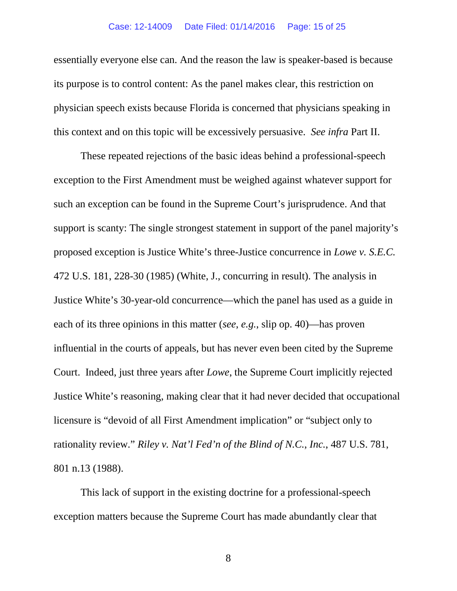#### Case: 12-14009 Date Filed: 01/14/2016 Page: 15 of 25

essentially everyone else can. And the reason the law is speaker-based is because its purpose is to control content: As the panel makes clear, this restriction on physician speech exists because Florida is concerned that physicians speaking in this context and on this topic will be excessively persuasive. *See infra* Part II.

These repeated rejections of the basic ideas behind a professional-speech exception to the First Amendment must be weighed against whatever support for such an exception can be found in the Supreme Court's jurisprudence. And that support is scanty: The single strongest statement in support of the panel majority's proposed exception is Justice White's three-Justice concurrence in *Lowe v. S.E.C.*  472 U.S. 181, 228-30 (1985) (White, J., concurring in result). The analysis in Justice White's 30-year-old concurrence—which the panel has used as a guide in each of its three opinions in this matter (*see*, *e.g.*, slip op. 40)—has proven influential in the courts of appeals, but has never even been cited by the Supreme Court. Indeed, just three years after *Lowe*, the Supreme Court implicitly rejected Justice White's reasoning, making clear that it had never decided that occupational licensure is "devoid of all First Amendment implication" or "subject only to rationality review." *Riley v. Nat'l Fed'n of the Blind of N.C.*, *Inc.*, 487 U.S. 781, 801 n.13 (1988).

This lack of support in the existing doctrine for a professional-speech exception matters because the Supreme Court has made abundantly clear that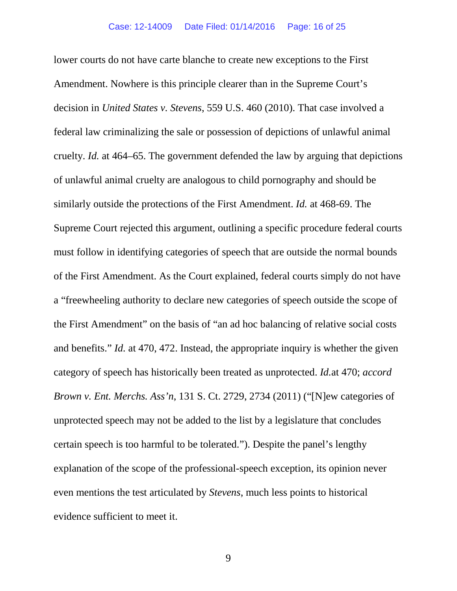lower courts do not have carte blanche to create new exceptions to the First Amendment. Nowhere is this principle clearer than in the Supreme Court's decision in *United States v. Stevens*, 559 U.S. 460 (2010). That case involved a federal law criminalizing the sale or possession of depictions of unlawful animal cruelty. *Id.* at 464–65. The government defended the law by arguing that depictions of unlawful animal cruelty are analogous to child pornography and should be similarly outside the protections of the First Amendment. *Id.* at 468-69. The Supreme Court rejected this argument, outlining a specific procedure federal courts must follow in identifying categories of speech that are outside the normal bounds of the First Amendment. As the Court explained, federal courts simply do not have a "freewheeling authority to declare new categories of speech outside the scope of the First Amendment" on the basis of "an ad hoc balancing of relative social costs and benefits." *Id.* at 470, 472. Instead, the appropriate inquiry is whether the given category of speech has historically been treated as unprotected. *Id.*at 470; *accord Brown v. Ent. Merchs. Ass'n*, 131 S. Ct. 2729, 2734 (2011) ("[N]ew categories of unprotected speech may not be added to the list by a legislature that concludes certain speech is too harmful to be tolerated."). Despite the panel's lengthy explanation of the scope of the professional-speech exception, its opinion never even mentions the test articulated by *Stevens*, much less points to historical evidence sufficient to meet it.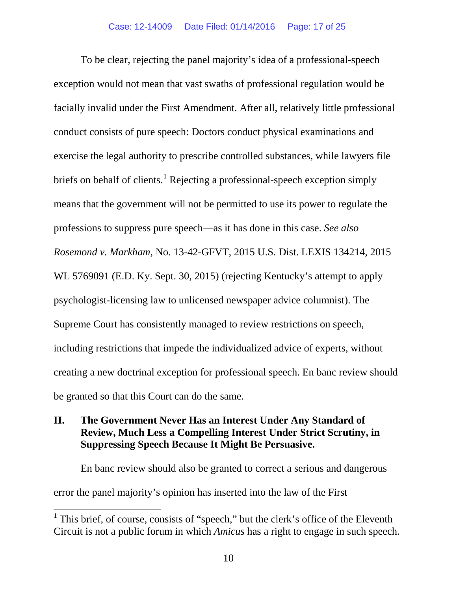To be clear, rejecting the panel majority's idea of a professional-speech exception would not mean that vast swaths of professional regulation would be facially invalid under the First Amendment. After all, relatively little professional conduct consists of pure speech: Doctors conduct physical examinations and exercise the legal authority to prescribe controlled substances, while lawyers file briefs on behalf of clients.<sup>[1](#page-21-0)</sup> Rejecting a professional-speech exception simply means that the government will not be permitted to use its power to regulate the professions to suppress pure speech—as it has done in this case. *See also Rosemond v. Markham*, No. 13-42-GFVT, 2015 U.S. Dist. LEXIS 134214, 2015 WL 5769091 (E.D. Ky. Sept. 30, 2015) (rejecting Kentucky's attempt to apply psychologist-licensing law to unlicensed newspaper advice columnist). The Supreme Court has consistently managed to review restrictions on speech, including restrictions that impede the individualized advice of experts, without creating a new doctrinal exception for professional speech. En banc review should be granted so that this Court can do the same.

# **II. The Government Never Has an Interest Under Any Standard of Review, Much Less a Compelling Interest Under Strict Scrutiny, in Suppressing Speech Because It Might Be Persuasive.**

En banc review should also be granted to correct a serious and dangerous error the panel majority's opinion has inserted into the law of the First

<span id="page-21-0"></span><sup>&</sup>lt;sup>1</sup> This brief, of course, consists of "speech," but the clerk's office of the Eleventh Circuit is not a public forum in which *Amicus* has a right to engage in such speech.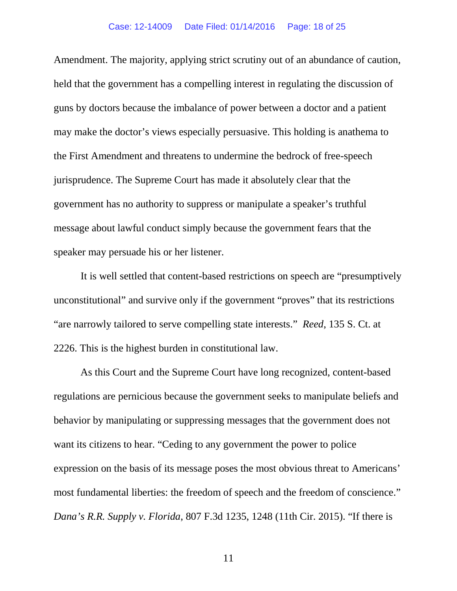Amendment. The majority, applying strict scrutiny out of an abundance of caution, held that the government has a compelling interest in regulating the discussion of guns by doctors because the imbalance of power between a doctor and a patient may make the doctor's views especially persuasive. This holding is anathema to the First Amendment and threatens to undermine the bedrock of free-speech jurisprudence. The Supreme Court has made it absolutely clear that the government has no authority to suppress or manipulate a speaker's truthful message about lawful conduct simply because the government fears that the speaker may persuade his or her listener.

It is well settled that content-based restrictions on speech are "presumptively unconstitutional" and survive only if the government "proves" that its restrictions "are narrowly tailored to serve compelling state interests." *Reed*, 135 S. Ct. at 2226. This is the highest burden in constitutional law.

As this Court and the Supreme Court have long recognized, content-based regulations are pernicious because the government seeks to manipulate beliefs and behavior by manipulating or suppressing messages that the government does not want its citizens to hear. "Ceding to any government the power to police expression on the basis of its message poses the most obvious threat to Americans' most fundamental liberties: the freedom of speech and the freedom of conscience." *Dana's R.R. Supply v. Florida*, 807 F.3d 1235, 1248 (11th Cir. 2015). "If there is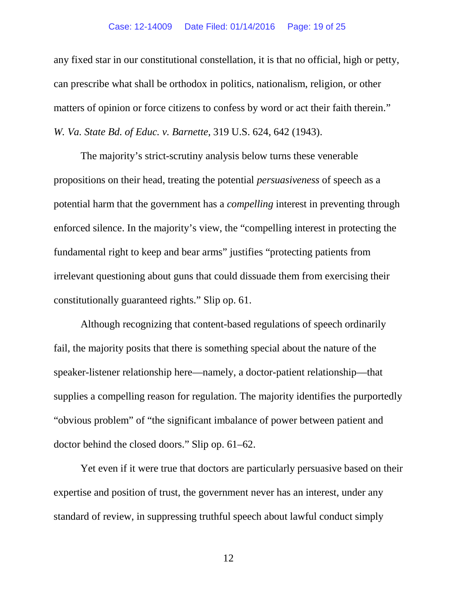#### Case: 12-14009 Date Filed: 01/14/2016 Page: 19 of 25

any fixed star in our constitutional constellation, it is that no official, high or petty, can prescribe what shall be orthodox in politics, nationalism, religion, or other matters of opinion or force citizens to confess by word or act their faith therein." *W. Va. State Bd. of Educ. v. Barnette*, 319 U.S. 624, 642 (1943).

The majority's strict-scrutiny analysis below turns these venerable propositions on their head, treating the potential *persuasiveness* of speech as a potential harm that the government has a *compelling* interest in preventing through enforced silence. In the majority's view, the "compelling interest in protecting the fundamental right to keep and bear arms" justifies "protecting patients from irrelevant questioning about guns that could dissuade them from exercising their constitutionally guaranteed rights." Slip op. 61.

Although recognizing that content-based regulations of speech ordinarily fail, the majority posits that there is something special about the nature of the speaker-listener relationship here—namely, a doctor-patient relationship—that supplies a compelling reason for regulation. The majority identifies the purportedly "obvious problem" of "the significant imbalance of power between patient and doctor behind the closed doors." Slip op. 61–62.

Yet even if it were true that doctors are particularly persuasive based on their expertise and position of trust, the government never has an interest, under any standard of review, in suppressing truthful speech about lawful conduct simply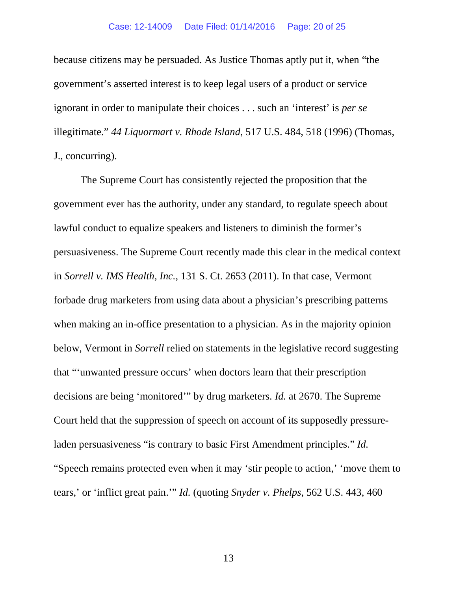because citizens may be persuaded. As Justice Thomas aptly put it, when "the government's asserted interest is to keep legal users of a product or service ignorant in order to manipulate their choices . . . such an 'interest' is *per se*  illegitimate." *44 Liquormart v. Rhode Island*, 517 U.S. 484, 518 (1996) (Thomas, J., concurring).

The Supreme Court has consistently rejected the proposition that the government ever has the authority, under any standard, to regulate speech about lawful conduct to equalize speakers and listeners to diminish the former's persuasiveness. The Supreme Court recently made this clear in the medical context in *Sorrell v. IMS Health, Inc.*, 131 S. Ct. 2653 (2011). In that case, Vermont forbade drug marketers from using data about a physician's prescribing patterns when making an in-office presentation to a physician. As in the majority opinion below, Vermont in *Sorrell* relied on statements in the legislative record suggesting that "'unwanted pressure occurs' when doctors learn that their prescription decisions are being 'monitored'" by drug marketers. *Id.* at 2670. The Supreme Court held that the suppression of speech on account of its supposedly pressureladen persuasiveness "is contrary to basic First Amendment principles." *Id.* "Speech remains protected even when it may 'stir people to action,' 'move them to tears,' or 'inflict great pain.'" *Id.* (quoting *Snyder v. Phelps*, 562 U.S. 443, 460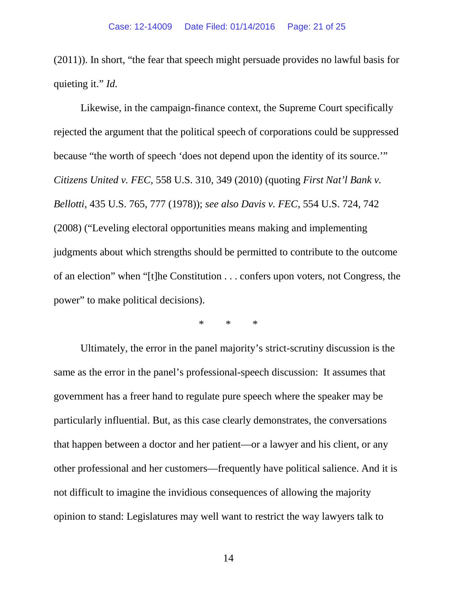(2011)). In short, "the fear that speech might persuade provides no lawful basis for quieting it." *Id.*

Likewise, in the campaign-finance context, the Supreme Court specifically rejected the argument that the political speech of corporations could be suppressed because "the worth of speech 'does not depend upon the identity of its source.'" *Citizens United v. FEC*, 558 U.S. 310, 349 (2010) (quoting *First Nat'l Bank v. Bellotti*, 435 U.S. 765, 777 (1978)); *see also Davis v. FEC*, 554 U.S. 724, 742 (2008) ("Leveling electoral opportunities means making and implementing judgments about which strengths should be permitted to contribute to the outcome of an election" when "[t]he Constitution . . . confers upon voters, not Congress, the power" to make political decisions).

\* \* \*

Ultimately, the error in the panel majority's strict-scrutiny discussion is the same as the error in the panel's professional-speech discussion: It assumes that government has a freer hand to regulate pure speech where the speaker may be particularly influential. But, as this case clearly demonstrates, the conversations that happen between a doctor and her patient—or a lawyer and his client, or any other professional and her customers—frequently have political salience. And it is not difficult to imagine the invidious consequences of allowing the majority opinion to stand: Legislatures may well want to restrict the way lawyers talk to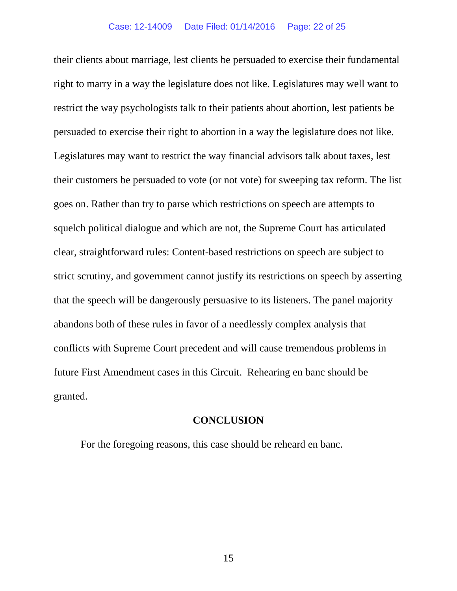their clients about marriage, lest clients be persuaded to exercise their fundamental right to marry in a way the legislature does not like. Legislatures may well want to restrict the way psychologists talk to their patients about abortion, lest patients be persuaded to exercise their right to abortion in a way the legislature does not like. Legislatures may want to restrict the way financial advisors talk about taxes, lest their customers be persuaded to vote (or not vote) for sweeping tax reform. The list goes on. Rather than try to parse which restrictions on speech are attempts to squelch political dialogue and which are not, the Supreme Court has articulated clear, straightforward rules: Content-based restrictions on speech are subject to strict scrutiny, and government cannot justify its restrictions on speech by asserting that the speech will be dangerously persuasive to its listeners. The panel majority abandons both of these rules in favor of a needlessly complex analysis that conflicts with Supreme Court precedent and will cause tremendous problems in future First Amendment cases in this Circuit. Rehearing en banc should be granted.

### **CONCLUSION**

For the foregoing reasons, this case should be reheard en banc.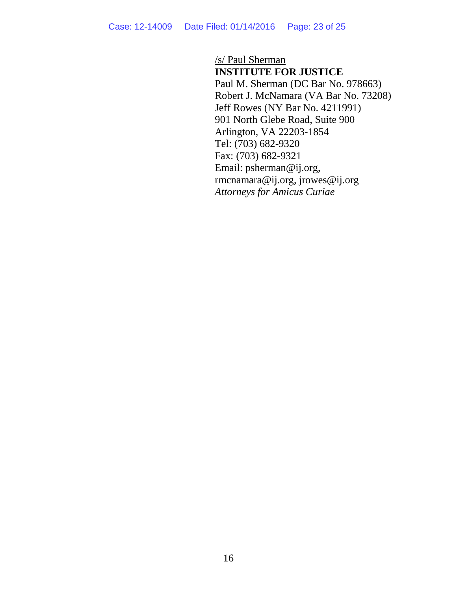/s/ Paul Sherman

**INSTITUTE FOR JUSTICE** Paul M. Sherman (DC Bar No. 978663) Robert J. McNamara (VA Bar No. 73208) Jeff Rowes (NY Bar No. 4211991) 901 North Glebe Road, Suite 900 Arlington, VA 22203-1854 Tel: (703) 682-9320 Fax: (703) 682-9321 Email: psherman@ij.org, rmcnamara@ij.org, jrowes@ij.org *Attorneys for Amicus Curiae*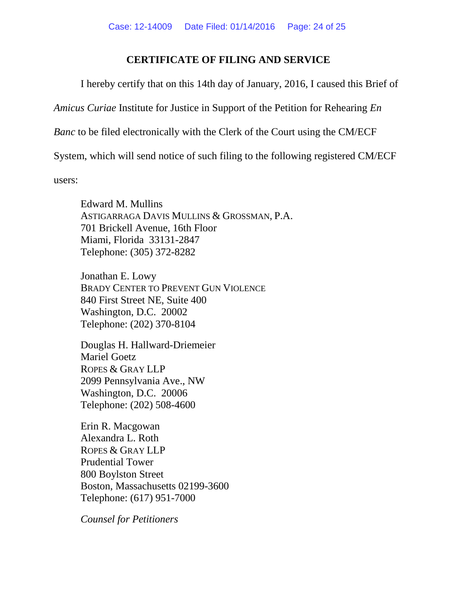# **CERTIFICATE OF FILING AND SERVICE**

I hereby certify that on this 14th day of January, 2016, I caused this Brief of

*Amicus Curiae* Institute for Justice in Support of the Petition for Rehearing *En*

*Banc* to be filed electronically with the Clerk of the Court using the CM/ECF

System, which will send notice of such filing to the following registered CM/ECF

users:

Edward M. Mullins ASTIGARRAGA DAVIS MULLINS & GROSSMAN, P.A. 701 Brickell Avenue, 16th Floor Miami, Florida 33131-2847 Telephone: (305) 372-8282

Jonathan E. Lowy BRADY CENTER TO PREVENT GUN VIOLENCE 840 First Street NE, Suite 400 Washington, D.C. 20002 Telephone: (202) 370-8104

Douglas H. Hallward-Driemeier Mariel Goetz ROPES & GRAY LLP 2099 Pennsylvania Ave., NW Washington, D.C. 20006 Telephone: (202) 508-4600

Erin R. Macgowan Alexandra L. Roth ROPES & GRAY LLP Prudential Tower 800 Boylston Street Boston, Massachusetts 02199-3600 Telephone: (617) 951-7000

*Counsel for Petitioners*